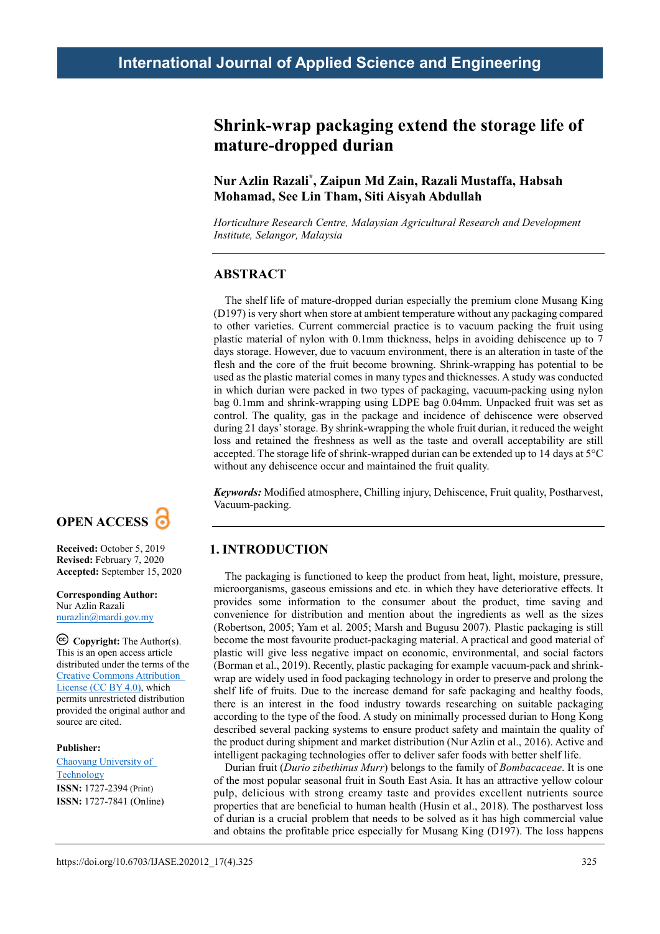# **Shrink-wrap packaging extend the storage life of mature-dropped durian**

**Nur Azlin Razali\*, Zaipun Md Zain, Razali Mustaffa, Habsah Mohamad, See Lin Tham, Siti Aisyah Abdullah**

*Horticulture Research Centre, Malaysian Agricultural Research and Development Institute, Selangor, Malaysia*

## **ABSTRACT**

The shelf life of mature-dropped durian especially the premium clone Musang King (D197) is very short when store at ambient temperature without any packaging compared to other varieties. Current commercial practice is to vacuum packing the fruit using plastic material of nylon with 0.1mm thickness, helps in avoiding dehiscence up to 7 days storage. However, due to vacuum environment, there is an alteration in taste of the flesh and the core of the fruit become browning. Shrink-wrapping has potential to be used as the plastic material comes in many types and thicknesses. A study was conducted in which durian were packed in two types of packaging, vacuum-packing using nylon bag 0.1mm and shrink-wrapping using LDPE bag 0.04mm. Unpacked fruit was set as control. The quality, gas in the package and incidence of dehiscence were observed during 21 days' storage. By shrink-wrapping the whole fruit durian, it reduced the weight loss and retained the freshness as well as the taste and overall acceptability are still accepted. The storage life of shrink-wrapped durian can be extended up to 14 days at 5°C without any dehiscence occur and maintained the fruit quality.

*Keywords:* Modified atmosphere, Chilling injury, Dehiscence, Fruit quality, Postharvest, Vacuum-packing.

## **1. INTRODUCTION**

The packaging is functioned to keep the product from heat, light, moisture, pressure, microorganisms, gaseous emissions and etc. in which they have deteriorative effects. It provides some information to the consumer about the product, time saving and convenience for distribution and mention about the ingredients as well as the sizes (Robertson, 2005; Yam et al. 2005; Marsh and Bugusu 2007). Plastic packaging is still become the most favourite product-packaging material. A practical and good material of plastic will give less negative impact on economic, environmental, and social factors (Borman et al., 2019). Recently, plastic packaging for example vacuum-pack and shrinkwrap are widely used in food packaging technology in order to preserve and prolong the shelf life of fruits. Due to the increase demand for safe packaging and healthy foods, there is an interest in the food industry towards researching on suitable packaging according to the type of the food. A study on minimally processed durian to Hong Kong described several packing systems to ensure product safety and maintain the quality of the product during shipment and market distribution (Nur Azlin et al., 2016). Active and intelligent packaging technologies offer to deliver safer foods with better shelf life.

Durian fruit (*Durio zibethinus Murr*) belongs to the family of *Bombacaceae*. It is one of the most popular seasonal fruit in South East Asia. It has an attractive yellow colour pulp, delicious with strong creamy taste and provides excellent nutrients source properties that are beneficial to human health (Husin et al., 2018). The postharvest loss of durian is a crucial problem that needs to be solved as it has high commercial value and obtains the profitable price especially for Musang King (D197). The loss happens



**Received:** October 5, 2019 **Revised:** February 7, 2020 **Accepted:** September 15, 2020

**Corresponding Author:** Nur Azlin Razali [nurazlin@mardi.gov.my](mailto:nurazlin@mardi.gov.my)

**Copyright:** The Author(s). This is an open access article distributed under the terms of the [Creative Commons Attribution](https://creativecommons.org/licenses/by/4.0/deed.ast)  [License \(CC BY 4.0\),](https://creativecommons.org/licenses/by/4.0/deed.ast) which permits unrestricted distribution provided the original author and source are cited.

#### **Publisher:**

[Chaoyang University of](http://web.cyut.edu.tw/index.php?Lang=en)  [Technology](http://web.cyut.edu.tw/index.php?Lang=en) **ISSN:** 1727-2394 (Print) **ISSN:** 1727-7841 (Online)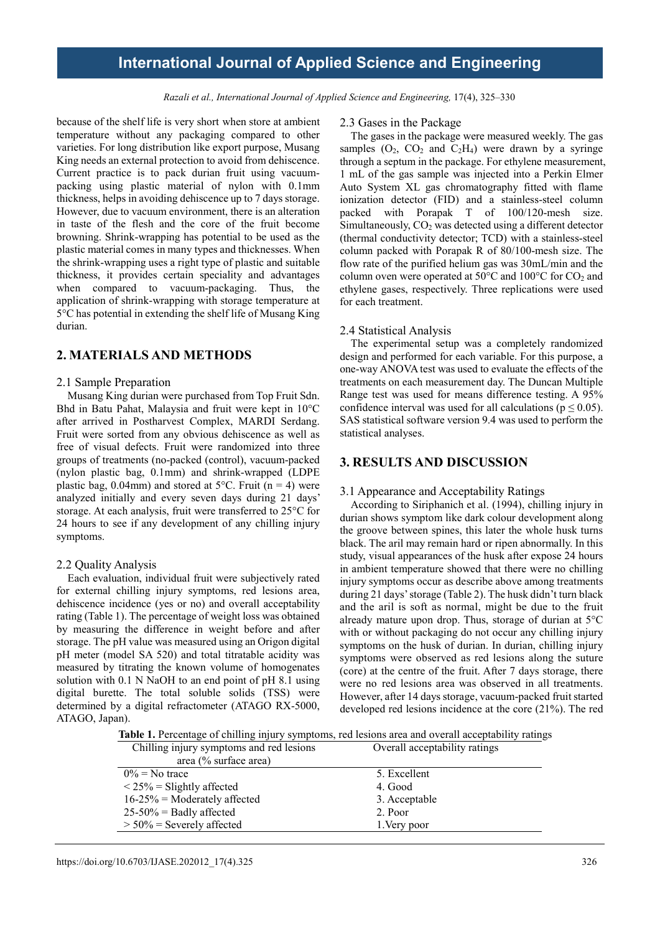*Razali et al., International Journal of Applied Science and Engineering,* 17(4), 325–330

because of the shelf life is very short when store at ambient temperature without any packaging compared to other varieties. For long distribution like export purpose, Musang King needs an external protection to avoid from dehiscence. Current practice is to pack durian fruit using vacuumpacking using plastic material of nylon with 0.1mm thickness, helps in avoiding dehiscence up to 7 days storage. However, due to vacuum environment, there is an alteration in taste of the flesh and the core of the fruit become browning. Shrink-wrapping has potential to be used as the plastic material comes in many types and thicknesses. When the shrink-wrapping uses a right type of plastic and suitable thickness, it provides certain speciality and advantages when compared to vacuum-packaging. Thus, the application of shrink-wrapping with storage temperature at 5°C has potential in extending the shelf life of Musang King durian.

### **2. MATERIALS AND METHODS**

#### 2.1 Sample Preparation

Musang King durian were purchased from Top Fruit Sdn. Bhd in Batu Pahat, Malaysia and fruit were kept in 10°C after arrived in Postharvest Complex, MARDI Serdang. Fruit were sorted from any obvious dehiscence as well as free of visual defects. Fruit were randomized into three groups of treatments (no-packed (control), vacuum-packed (nylon plastic bag, 0.1mm) and shrink-wrapped (LDPE plastic bag, 0.04mm) and stored at  $5^{\circ}$ C. Fruit (n = 4) were analyzed initially and every seven days during 21 days' storage. At each analysis, fruit were transferred to 25°C for 24 hours to see if any development of any chilling injury symptoms.

### 2.2 Quality Analysis

Each evaluation, individual fruit were subjectively rated for external chilling injury symptoms, red lesions area, dehiscence incidence (yes or no) and overall acceptability rating (Table 1). The percentage of weight loss was obtained by measuring the difference in weight before and after storage. The pH value was measured using an Origon digital pH meter (model SA 520) and total titratable acidity was measured by titrating the known volume of homogenates solution with 0.1 N NaOH to an end point of pH 8.1 using digital burette. The total soluble solids (TSS) were determined by a digital refractometer (ATAGO RX-5000, ATAGO, Japan).

#### 2.3 Gases in the Package

The gases in the package were measured weekly. The gas samples  $(O_2, CO_2 \text{ and } C_2H_4)$  were drawn by a syringe through a septum in the package. For ethylene measurement, 1 mL of the gas sample was injected into a Perkin Elmer Auto System XL gas chromatography fitted with flame ionization detector (FID) and a stainless-steel column packed with Porapak T of 100/120-mesh size. Simultaneously,  $CO<sub>2</sub>$  was detected using a different detector (thermal conductivity detector; TCD) with a stainless-steel column packed with Porapak R of 80/100-mesh size. The flow rate of the purified helium gas was 30mL/min and the column oven were operated at  $50^{\circ}$ C and  $100^{\circ}$ C for CO<sub>2</sub> and ethylene gases, respectively. Three replications were used for each treatment.

#### 2.4 Statistical Analysis

The experimental setup was a completely randomized design and performed for each variable. For this purpose, a one-way ANOVA test was used to evaluate the effects of the treatments on each measurement day. The Duncan Multiple Range test was used for means difference testing. A 95% confidence interval was used for all calculations ( $p \le 0.05$ ). SAS statistical software version 9.4 was used to perform the statistical analyses.

### **3. RESULTS AND DISCUSSION**

#### 3.1 Appearance and Acceptability Ratings

According to Siriphanich et al. (1994), chilling injury in durian shows symptom like dark colour development along the groove between spines, this later the whole husk turns black. The aril may remain hard or ripen abnormally. In this study, visual appearances of the husk after expose 24 hours in ambient temperature showed that there were no chilling injury symptoms occur as describe above among treatments during 21 days' storage (Table 2). The husk didn't turn black and the aril is soft as normal, might be due to the fruit already mature upon drop. Thus, storage of durian at 5°C with or without packaging do not occur any chilling injury symptoms on the husk of durian. In durian, chilling injury symptoms were observed as red lesions along the suture (core) at the centre of the fruit. After 7 days storage, there were no red lesions area was observed in all treatments. However, after 14 days storage, vacuum-packed fruit started developed red lesions incidence at the core (21%). The red

**Table 1.** Percentage of chilling injury symptoms, red lesions area and overall acceptability ratings

| Chilling injury symptoms and red lesions | Overall acceptability ratings |
|------------------------------------------|-------------------------------|
| area (% surface area)                    |                               |
| $0\%$ = No trace                         | 5. Excellent                  |
| $\langle 25\%$ = Slightly affected       | 4. Good                       |
| $16-25%$ = Moderately affected           | 3. Acceptable                 |
| $25-50\%$ = Badly affected               | 2. Poor                       |
| $> 50\%$ = Severely affected             | 1. Very poor                  |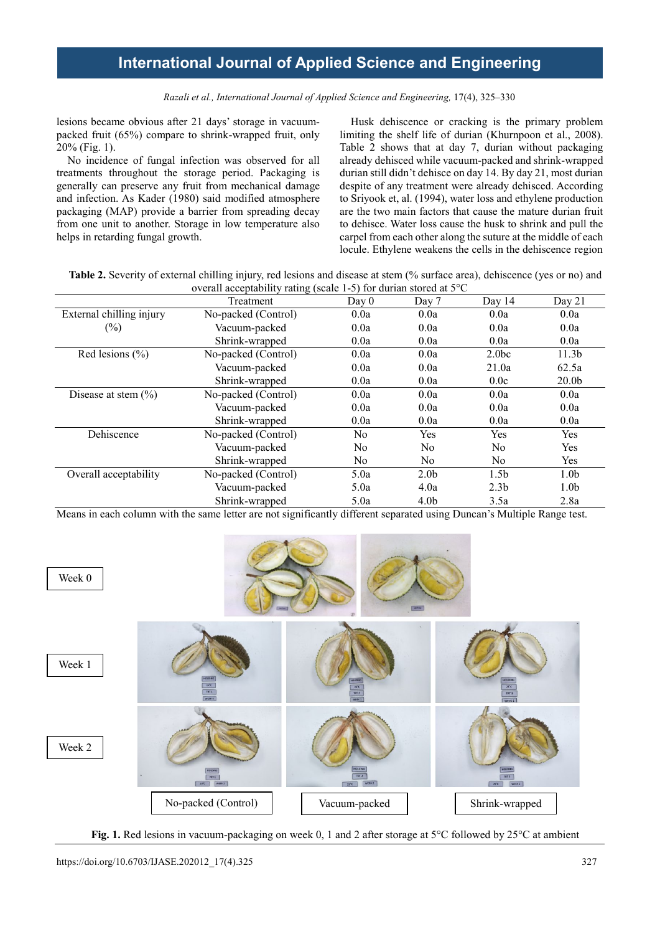*Razali et al., International Journal of Applied Science and Engineering,* 17(4), 325–330

lesions became obvious after 21 days' storage in vacuumpacked fruit (65%) compare to shrink-wrapped fruit, only 20% (Fig. 1).

No incidence of fungal infection was observed for all treatments throughout the storage period. Packaging is generally can preserve any fruit from mechanical damage and infection. As Kader (1980) said modified atmosphere packaging (MAP) provide a barrier from spreading decay from one unit to another. Storage in low temperature also helps in retarding fungal growth.

Husk dehiscence or cracking is the primary problem limiting the shelf life of durian (Khurnpoon et al., 2008). Table 2 shows that at day 7, durian without packaging already dehisced while vacuum-packed and shrink-wrapped durian still didn't dehisce on day 14. By day 21, most durian despite of any treatment were already dehisced. According to Sriyook et, al. (1994), water loss and ethylene production are the two main factors that cause the mature durian fruit to dehisce. Water loss cause the husk to shrink and pull the carpel from each other along the suture at the middle of each locule. Ethylene weakens the cells in the dehiscence region

**Table 2.** Severity of external chilling injury, red lesions and disease at stem (% surface area), dehiscence (yes or no) and overall acceptability rating (scale 1-5) for durian stored at 5°C

|                          | Treatment           | Day 0          | Day 7            | Day 14            | Day $21$          |
|--------------------------|---------------------|----------------|------------------|-------------------|-------------------|
| External chilling injury | No-packed (Control) | 0.0a           | 0.0a             | 0.0a              | 0.0a              |
| $(\%)$                   | Vacuum-packed       | 0.0a           | 0.0a             | 0.0a              | 0.0a              |
|                          | Shrink-wrapped      | 0.0a           | 0.0a             | 0.0a              | 0.0a              |
| Red lesions $(\% )$      | No-packed (Control) | 0.0a           | 0.0a             | 2.0 <sub>bc</sub> | 11.3 <sub>b</sub> |
|                          | Vacuum-packed       | 0.0a           | 0.0a             | 21.0a             | 62.5a             |
|                          | Shrink-wrapped      | 0.0a           | 0.0a             | 0.0c              | 20.0 <sub>b</sub> |
| Disease at stem $(\% )$  | No-packed (Control) | 0.0a           | 0.0a             | 0.0a              | 0.0a              |
|                          | Vacuum-packed       | 0.0a           | 0.0a             | 0.0a              | 0.0a              |
|                          | Shrink-wrapped      | 0.0a           | 0.0a             | 0.0a              | 0.0a              |
| Dehiscence               | No-packed (Control) | N <sub>o</sub> | <b>Yes</b>       | Yes               | Yes               |
|                          | Vacuum-packed       | No.            | N <sub>0</sub>   | No                | Yes               |
|                          | Shrink-wrapped      | No.            | N <sub>0</sub>   | No                | Yes               |
| Overall acceptability    | No-packed (Control) | 5.0a           | 2.0 <sub>b</sub> | 1.5 <sub>b</sub>  | 1.0 <sub>b</sub>  |
|                          | Vacuum-packed       | 5.0a           | 4.0a             | 2.3 <sub>b</sub>  | 1.0 <sub>b</sub>  |
|                          | Shrink-wrapped      | 5.0a           | 4.0 <sub>b</sub> | 3.5a              | 2.8a              |

Means in each column with the same letter are not significantly different separated using Duncan's Multiple Range test.



**Fig. 1.** Red lesions in vacuum-packaging on week 0, 1 and 2 after storage at 5°C followed by 25°C at ambient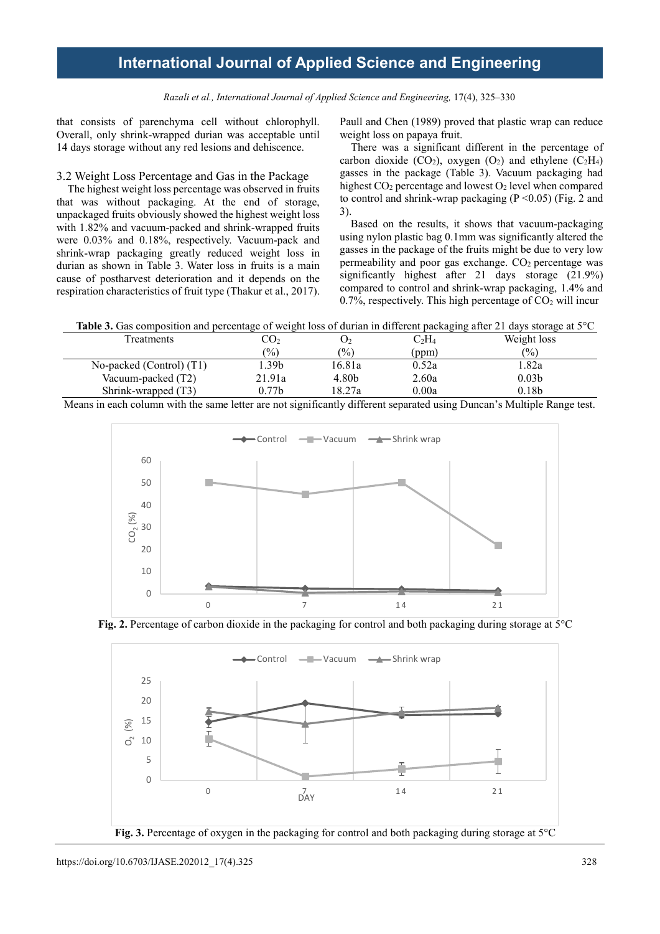*Razali et al., International Journal of Applied Science and Engineering,* 17(4), 325–330

that consists of parenchyma cell without chlorophyll. Overall, only shrink-wrapped durian was acceptable until 14 days storage without any red lesions and dehiscence.

### 3.2 Weight Loss Percentage and Gas in the Package

The highest weight loss percentage was observed in fruits that was without packaging. At the end of storage, unpackaged fruits obviously showed the highest weight loss with 1.82% and vacuum-packed and shrink-wrapped fruits were 0.03% and 0.18%, respectively. Vacuum-pack and shrink-wrap packaging greatly reduced weight loss in durian as shown in Table 3. Water loss in fruits is a main cause of postharvest deterioration and it depends on the respiration characteristics of fruit type (Thakur et al., 2017).

Paull and Chen (1989) proved that plastic wrap can reduce weight loss on papaya fruit.

There was a significant different in the percentage of carbon dioxide (CO<sub>2</sub>), oxygen (O<sub>2</sub>) and ethylene (C<sub>2</sub>H<sub>4</sub>) gasses in the package (Table 3). Vacuum packaging had highest CO<sub>2</sub> percentage and lowest O<sub>2</sub> level when compared to control and shrink-wrap packaging  $(P \le 0.05)$  (Fig. 2 and 3).

Based on the results, it shows that vacuum-packaging using nylon plastic bag 0.1mm was significantly altered the gasses in the package of the fruits might be due to very low permeability and poor gas exchange.  $CO<sub>2</sub>$  percentage was significantly highest after 21 days storage (21.9%) compared to control and shrink-wrap packaging, 1.4% and 0.7%, respectively. This high percentage of  $CO<sub>2</sub>$  will incur

**Table 3.** Gas composition and percentage of weight loss of durian in different packaging after 21 days storage at 5°C

| <b>Treatments</b>          | CO2           |        | C2H4  | Weight loss       |
|----------------------------|---------------|--------|-------|-------------------|
|                            | $\frac{1}{2}$ | (%)    | (ppm) | $\frac{(0)}{0}$   |
| No-packed (Control) $(T1)$ | . .39b        | 16.81a | 0.52a | 1.82a             |
| Vacuum-packed (T2)         | 21.91a        | 4.80b  | 2.60a | 0.03 <sub>b</sub> |
| Shrink-wrapped (T3)        | 0.77b         | 18.27a | 0.00a | 0.18 <sub>b</sub> |

Means in each column with the same letter are not significantly different separated using Duncan's Multiple Range test.





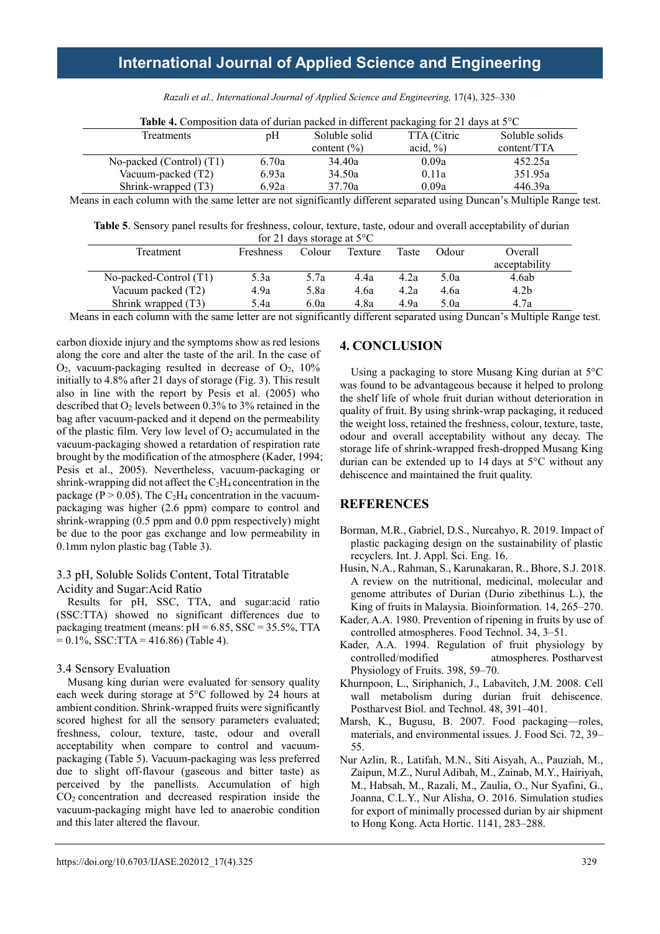| <b>Table 4.</b> Composition data of durian packed in different packaging for 21 days at $5^{\circ}$ C |       |                 |              |                |  |
|-------------------------------------------------------------------------------------------------------|-------|-----------------|--------------|----------------|--|
| Treatments                                                                                            | pΗ    | Soluble solid   | TTA (Citric  | Soluble solids |  |
|                                                                                                       |       | content $(\% )$ | acid, $\%$ ) | content/TTA    |  |
| No-packed (Control) (T1)                                                                              | 6.70a | 34.40a          | 0.09a        | 452.25a        |  |
| Vacuum-packed (T2)                                                                                    | 6.93a | 34.50a          | 0.11a        | 351.95a        |  |
| Shrink-wrapped (T3)                                                                                   | 6.92a | 37.70a          | 0.09a        | 446.39a        |  |

*Razali et al., International Journal of Applied Science and Engineering,* 17(4), 325–330

Means in each column with the same letter are not significantly different separated using Duncan's Multiple Range test.

**Table 5**. Sensory panel results for freshness, colour, texture, taste, odour and overall acceptability of durian for 21 days storage at 5°C

| 101 $\angle$ 1 $\angle$ 1 $\angle$ 1 $\angle$ 1 $\angle$ 1 $\angle$ 1 $\angle$ 1 $\angle$ 1 $\angle$ 1 $\angle$ 1 $\angle$ 1 $\angle$ 1 $\angle$ 1 $\angle$ 1 $\angle$ 1 $\angle$ 1 $\angle$ 1 $\angle$ 1 $\angle$ 1 $\angle$ 1 $\angle$ 1 $\angle$ 1 $\angle$ 1 $\angle$ 1 $\angle$ 1 $\angle$ 1 $\angle$ 1 $\angle$ 1 $\angle$ 1 $\angle$ 1 $\angle$ 1 $\angle$ 1 $\angle$ 1 $\angle$ 1 $\angle$ 1 $\angle$ 1 |                  |        |         |       |       |                  |
|-----------------------------------------------------------------------------------------------------------------------------------------------------------------------------------------------------------------------------------------------------------------------------------------------------------------------------------------------------------------------------------------------------------------|------------------|--------|---------|-------|-------|------------------|
| Treatment                                                                                                                                                                                                                                                                                                                                                                                                       | <b>Freshness</b> | Colour | Texture | Taste | Odour | Overall          |
|                                                                                                                                                                                                                                                                                                                                                                                                                 |                  |        |         |       |       | acceptability    |
| No-packed-Control (T1)                                                                                                                                                                                                                                                                                                                                                                                          | 5.3a             | 5.7a   | 4.4a    | 4.2a  | 5.0a  | 4.6ab            |
| Vacuum packed (T2)                                                                                                                                                                                                                                                                                                                                                                                              | 4.9a             | 5.8a   | 4.6a    | 4.2a  | 4.6a  | 4.2 <sub>b</sub> |
| Shrink wrapped (T3)                                                                                                                                                                                                                                                                                                                                                                                             | 5.4a             | 6.0a   | 4.8a    | 4.9a  | 5.0a  | 4.7a             |
| .                                                                                                                                                                                                                                                                                                                                                                                                               |                  | .      | .       |       |       | .                |

Means in each column with the same letter are not significantly different separated using Duncan's Multiple Range test.

carbon dioxide injury and the symptoms show as red lesions along the core and alter the taste of the aril. In the case of  $O_2$ , vacuum-packaging resulted in decrease of  $O_2$ , 10% initially to 4.8% after 21 days of storage (Fig. 3). This result also in line with the report by Pesis et al. (2005) who described that  $O_2$  levels between 0.3% to 3% retained in the bag after vacuum-packed and it depend on the permeability of the plastic film. Very low level of  $O_2$  accumulated in the vacuum-packaging showed a retardation of respiration rate brought by the modification of the atmosphere (Kader, 1994; Pesis et al., 2005). Nevertheless, vacuum-packaging or shrink-wrapping did not affect the  $C_2H_4$  concentration in the package ( $P > 0.05$ ). The C<sub>2</sub>H<sub>4</sub> concentration in the vacuumpackaging was higher (2.6 ppm) compare to control and shrink-wrapping (0.5 ppm and 0.0 ppm respectively) might be due to the poor gas exchange and low permeability in 0.1mm nylon plastic bag (Table 3).

### 3.3 pH, Soluble Solids Content, Total Titratable Acidity and Sugar:Acid Ratio

Results for pH, SSC, TTA, and sugar:acid ratio (SSC:TTA) showed no significant differences due to packaging treatment (means:  $pH = 6.85$ , SSC = 35.5%, TTA  $= 0.1\%$ , SSC:TTA = 416.86) (Table 4).

### 3.4 Sensory Evaluation

Musang king durian were evaluated for sensory quality each week during storage at 5°C followed by 24 hours at ambient condition. Shrink-wrapped fruits were significantly scored highest for all the sensory parameters evaluated; freshness, colour, texture, taste, odour and overall acceptability when compare to control and vacuumpackaging (Table 5). Vacuum-packaging was less preferred due to slight off-flavour (gaseous and bitter taste) as perceived by the panellists. Accumulation of high  $CO<sub>2</sub>$  concentration and decreased respiration inside the vacuum-packaging might have led to anaerobic condition and this later altered the flavour.

## **4. CONCLUSION**

 Using a packaging to store Musang King durian at 5°C was found to be advantageous because it helped to prolong the shelf life of whole fruit durian without deterioration in quality of fruit. By using shrink-wrap packaging, it reduced the weight loss, retained the freshness, colour, texture, taste, odour and overall acceptability without any decay. The storage life of shrink-wrapped fresh-dropped Musang King durian can be extended up to 14 days at 5°C without any dehiscence and maintained the fruit quality.

## **REFERENCES**

- Borman, M.R., Gabriel, D.S., Nurcahyo, R. 2019. Impact of plastic packaging design on the sustainability of plastic recyclers. Int. J. Appl. Sci. Eng. 16.
- Husin, N.A., Rahman, S., Karunakaran, R., Bhore, S.J. 2018. A review on the nutritional, medicinal, molecular and genome attributes of Durian (Durio zibethinus L.), the King of fruits in Malaysia. Bioinformation. 14, 265–270.
- Kader, A.A. 1980. Prevention of ripening in fruits by use of controlled atmospheres. Food Technol. 34, 3–51.
- Kader, A.A. 1994. Regulation of fruit physiology by controlled/modified atmospheres. Postharvest Physiology of Fruits. 398, 59–70.
- Khurnpoon, L., Siriphanich, J., Labavitch, J.M. 2008. Cell wall metabolism during durian fruit dehiscence. Postharvest Biol. and Technol. 48, 391–401.
- Marsh, K., Bugusu, B. 2007. Food packaging—roles, materials, and environmental issues. J. Food Sci. 72, 39– 55.
- Nur Azlin, R., Latifah, M.N., Siti Aisyah, A., Pauziah, M., Zaipun, M.Z., Nurul Adibah, M., Zainab, M.Y., Hairiyah, M., Habsah, M., Razali, M., Zaulia, O., Nur Syafini, G., Joanna, C.L.Y., Nur Alisha, O. 2016. Simulation studies for export of minimally processed durian by air shipment to Hong Kong. Acta Hortic. 1141, 283–288.